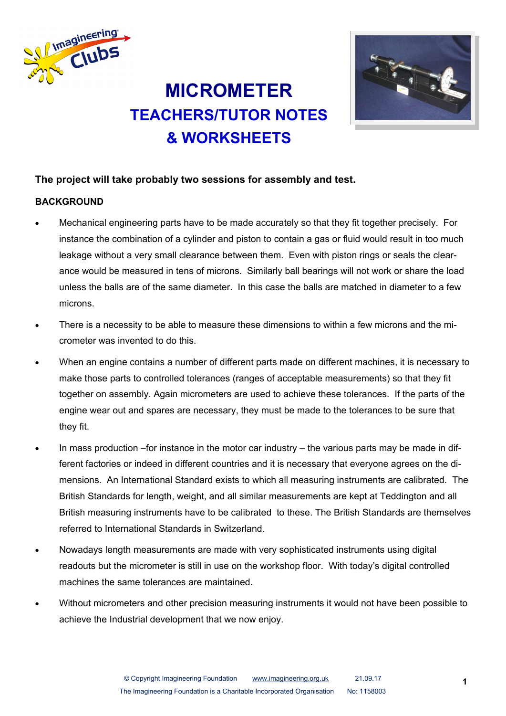

# **MICROMETER TEACHERS/TUTOR NOTES & WORKSHEETS**



### **The project will take probably two sessions for assembly and test.**

#### **BACKGROUND**

- Mechanical engineering parts have to be made accurately so that they fit together precisely. For instance the combination of a cylinder and piston to contain a gas or fluid would result in too much leakage without a very small clearance between them. Even with piston rings or seals the clearance would be measured in tens of microns. Similarly ball bearings will not work or share the load unless the balls are of the same diameter. In this case the balls are matched in diameter to a few microns.
- There is a necessity to be able to measure these dimensions to within a few microns and the micrometer was invented to do this.
- When an engine contains a number of different parts made on different machines, it is necessary to make those parts to controlled tolerances (ranges of acceptable measurements) so that they fit together on assembly. Again micrometers are used to achieve these tolerances. If the parts of the engine wear out and spares are necessary, they must be made to the tolerances to be sure that they fit.
- In mass production –for instance in the motor car industry the various parts may be made in different factories or indeed in different countries and it is necessary that everyone agrees on the dimensions. An International Standard exists to which all measuring instruments are calibrated. The British Standards for length, weight, and all similar measurements are kept at Teddington and all British measuring instruments have to be calibrated to these. The British Standards are themselves referred to International Standards in Switzerland.
- Nowadays length measurements are made with very sophisticated instruments using digital readouts but the micrometer is still in use on the workshop floor. With today's digital controlled machines the same tolerances are maintained.
- Without micrometers and other precision measuring instruments it would not have been possible to achieve the Industrial development that we now enjoy.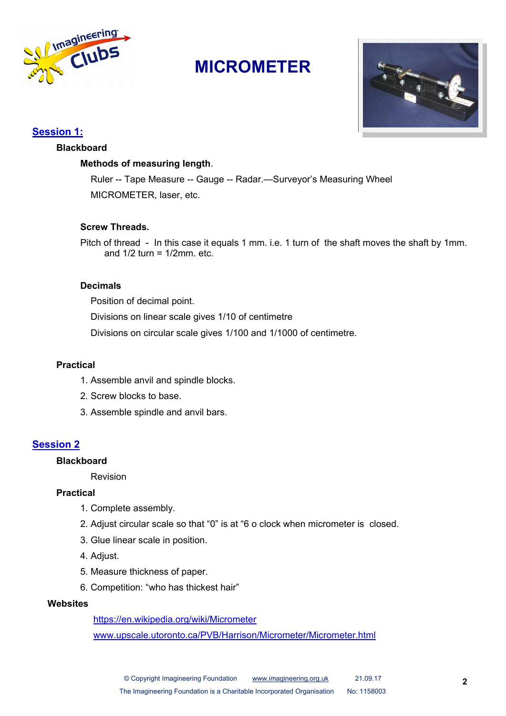

# **MICROMETER**



# **Session 1:**

#### **Blackboard**

#### **Methods of measuring length**.

 Ruler -- Tape Measure -- Gauge -- Radar.—Surveyor's Measuring Wheel MICROMETER, laser, etc.

#### **Screw Threads.**

Pitch of thread - In this case it equals 1 mm. i.e. 1 turn of the shaft moves the shaft by 1mm. and  $1/2$  turn =  $1/2$ mm. etc.

#### **Decimals**

Position of decimal point.

Divisions on linear scale gives 1/10 of centimetre

Divisions on circular scale gives 1/100 and 1/1000 of centimetre.

#### **Practical**

- 1. Assemble anvil and spindle blocks.
- 2. Screw blocks to base.
- 3. Assemble spindle and anvil bars.

## **Session 2**

#### **Blackboard**

Revision

#### **Practical**

- 1. Complete assembly.
- 2. Adjust circular scale so that "0" is at "6 o clock when micrometer is closed.
- 3. Glue linear scale in position.
- 4. Adjust.
- 5. Measure thickness of paper.
- 6. Competition: "who has thickest hair"

#### **Websites**

https://en.wikipedia.org/wiki/Micrometer [www.upscale.utoronto.ca/PVB/Harrison/Micrometer/Micrometer.html](http://www.upscale.utoronto.ca/PVB/Harrison/Micrometer/Micrometer.html)